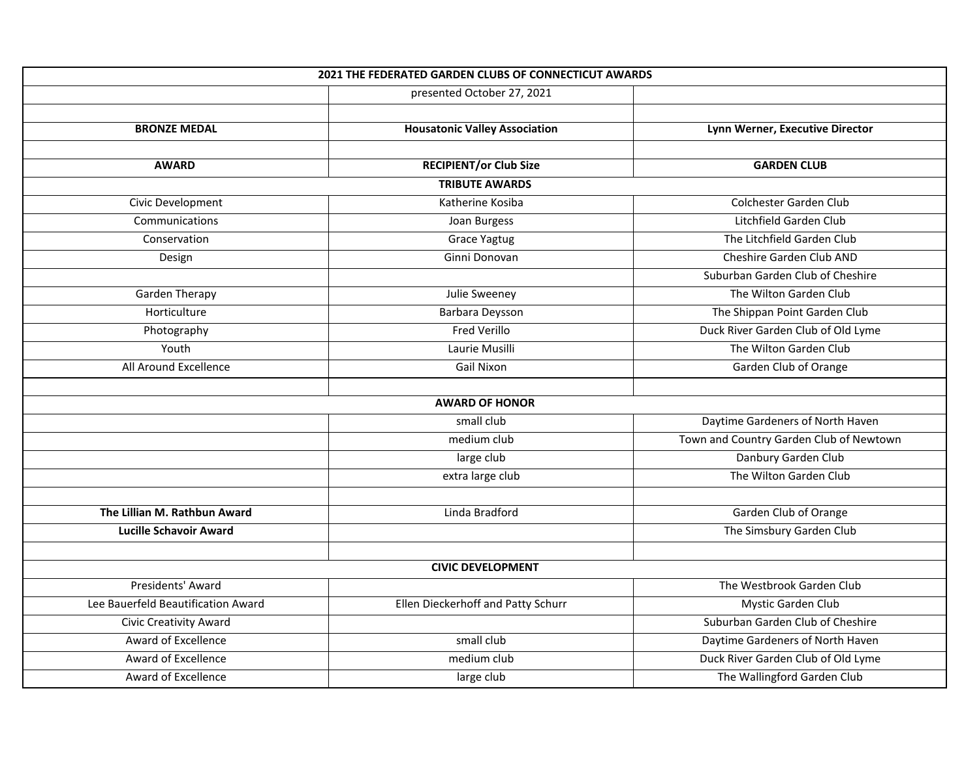| <b>2021 THE FEDERATED GARDEN CLUBS OF CONNECTICUT AWARDS</b> |                                      |                                         |  |
|--------------------------------------------------------------|--------------------------------------|-----------------------------------------|--|
|                                                              | presented October 27, 2021           |                                         |  |
|                                                              |                                      |                                         |  |
| <b>BRONZE MEDAL</b>                                          | <b>Housatonic Valley Association</b> | Lynn Werner, Executive Director         |  |
|                                                              |                                      |                                         |  |
| <b>AWARD</b>                                                 | <b>RECIPIENT/or Club Size</b>        | <b>GARDEN CLUB</b>                      |  |
| <b>TRIBUTE AWARDS</b>                                        |                                      |                                         |  |
| Civic Development                                            | Katherine Kosiba                     | Colchester Garden Club                  |  |
| Communications                                               | Joan Burgess                         | Litchfield Garden Club                  |  |
| Conservation                                                 | <b>Grace Yagtug</b>                  | The Litchfield Garden Club              |  |
| Design                                                       | Ginni Donovan                        | Cheshire Garden Club AND                |  |
|                                                              |                                      | Suburban Garden Club of Cheshire        |  |
| <b>Garden Therapy</b>                                        | Julie Sweeney                        | The Wilton Garden Club                  |  |
| Horticulture                                                 | Barbara Deysson                      | The Shippan Point Garden Club           |  |
| Photography                                                  | Fred Verillo                         | Duck River Garden Club of Old Lyme      |  |
| Youth                                                        | Laurie Musilli                       | The Wilton Garden Club                  |  |
| All Around Excellence                                        | Gail Nixon                           | Garden Club of Orange                   |  |
|                                                              |                                      |                                         |  |
|                                                              | <b>AWARD OF HONOR</b>                |                                         |  |
|                                                              | small club                           | Daytime Gardeners of North Haven        |  |
|                                                              | medium club                          | Town and Country Garden Club of Newtown |  |
|                                                              | large club                           | Danbury Garden Club                     |  |
|                                                              | extra large club                     | The Wilton Garden Club                  |  |
|                                                              |                                      |                                         |  |
| The Lillian M. Rathbun Award                                 | Linda Bradford                       | Garden Club of Orange                   |  |
| <b>Lucille Schavoir Award</b>                                |                                      | The Simsbury Garden Club                |  |
|                                                              |                                      |                                         |  |
|                                                              | <b>CIVIC DEVELOPMENT</b>             |                                         |  |
| Presidents' Award                                            |                                      | The Westbrook Garden Club               |  |
| Lee Bauerfeld Beautification Award                           | Ellen Dieckerhoff and Patty Schurr   | Mystic Garden Club                      |  |
| Civic Creativity Award                                       |                                      | Suburban Garden Club of Cheshire        |  |
| Award of Excellence                                          | small club                           | Daytime Gardeners of North Haven        |  |
| Award of Excellence                                          | medium club                          | Duck River Garden Club of Old Lyme      |  |
| Award of Excellence                                          | large club                           | The Wallingford Garden Club             |  |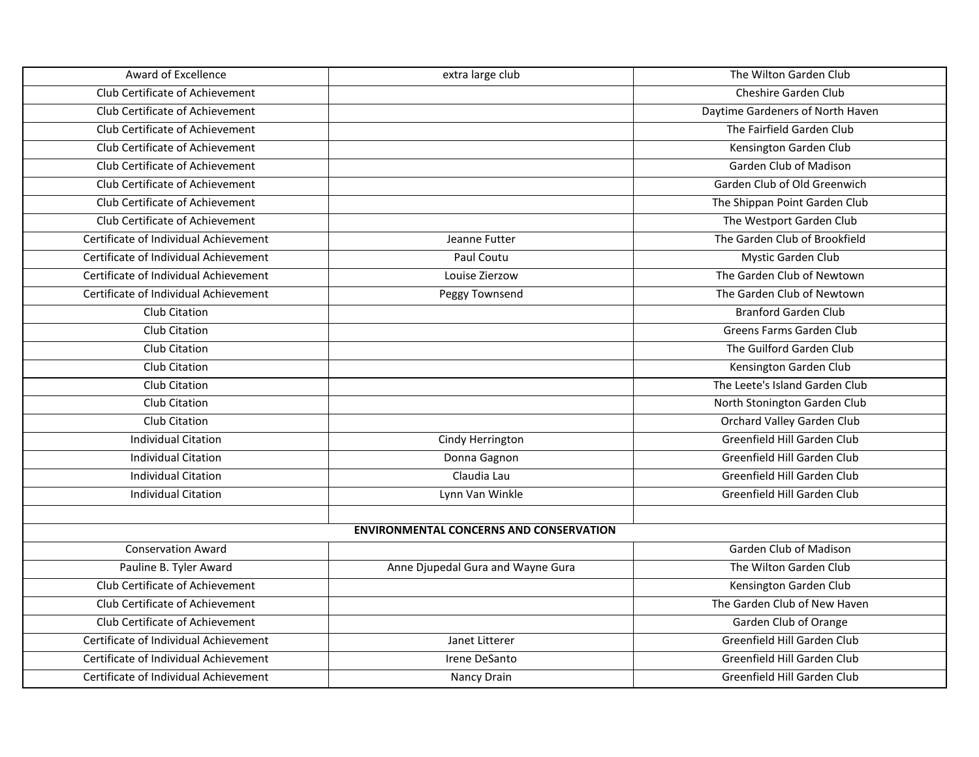| Award of Excellence                   | extra large club                               | The Wilton Garden Club           |
|---------------------------------------|------------------------------------------------|----------------------------------|
| Club Certificate of Achievement       |                                                | <b>Cheshire Garden Club</b>      |
| Club Certificate of Achievement       |                                                | Daytime Gardeners of North Haven |
| Club Certificate of Achievement       |                                                | The Fairfield Garden Club        |
| Club Certificate of Achievement       |                                                | Kensington Garden Club           |
| Club Certificate of Achievement       |                                                | Garden Club of Madison           |
| Club Certificate of Achievement       |                                                | Garden Club of Old Greenwich     |
| Club Certificate of Achievement       |                                                | The Shippan Point Garden Club    |
| Club Certificate of Achievement       |                                                | The Westport Garden Club         |
| Certificate of Individual Achievement | Jeanne Futter                                  | The Garden Club of Brookfield    |
| Certificate of Individual Achievement | Paul Coutu                                     | Mystic Garden Club               |
| Certificate of Individual Achievement | Louise Zierzow                                 | The Garden Club of Newtown       |
| Certificate of Individual Achievement | Peggy Townsend                                 | The Garden Club of Newtown       |
| Club Citation                         |                                                | <b>Branford Garden Club</b>      |
| <b>Club Citation</b>                  |                                                | Greens Farms Garden Club         |
| Club Citation                         |                                                | The Guilford Garden Club         |
| Club Citation                         |                                                | Kensington Garden Club           |
| Club Citation                         |                                                | The Leete's Island Garden Club   |
| Club Citation                         |                                                | North Stonington Garden Club     |
| Club Citation                         |                                                | Orchard Valley Garden Club       |
| <b>Individual Citation</b>            | Cindy Herrington                               | Greenfield Hill Garden Club      |
| <b>Individual Citation</b>            | Donna Gagnon                                   | Greenfield Hill Garden Club      |
| <b>Individual Citation</b>            | Claudia Lau                                    | Greenfield Hill Garden Club      |
| <b>Individual Citation</b>            | Lynn Van Winkle                                | Greenfield Hill Garden Club      |
|                                       |                                                |                                  |
|                                       | <b>ENVIRONMENTAL CONCERNS AND CONSERVATION</b> |                                  |
| <b>Conservation Award</b>             |                                                | Garden Club of Madison           |
| Pauline B. Tyler Award                | Anne Djupedal Gura and Wayne Gura              | The Wilton Garden Club           |
| Club Certificate of Achievement       |                                                | Kensington Garden Club           |
| Club Certificate of Achievement       |                                                | The Garden Club of New Haven     |
| Club Certificate of Achievement       |                                                | Garden Club of Orange            |
| Certificate of Individual Achievement | Janet Litterer                                 | Greenfield Hill Garden Club      |
| Certificate of Individual Achievement | Irene DeSanto                                  | Greenfield Hill Garden Club      |
| Certificate of Individual Achievement | Nancy Drain                                    | Greenfield Hill Garden Club      |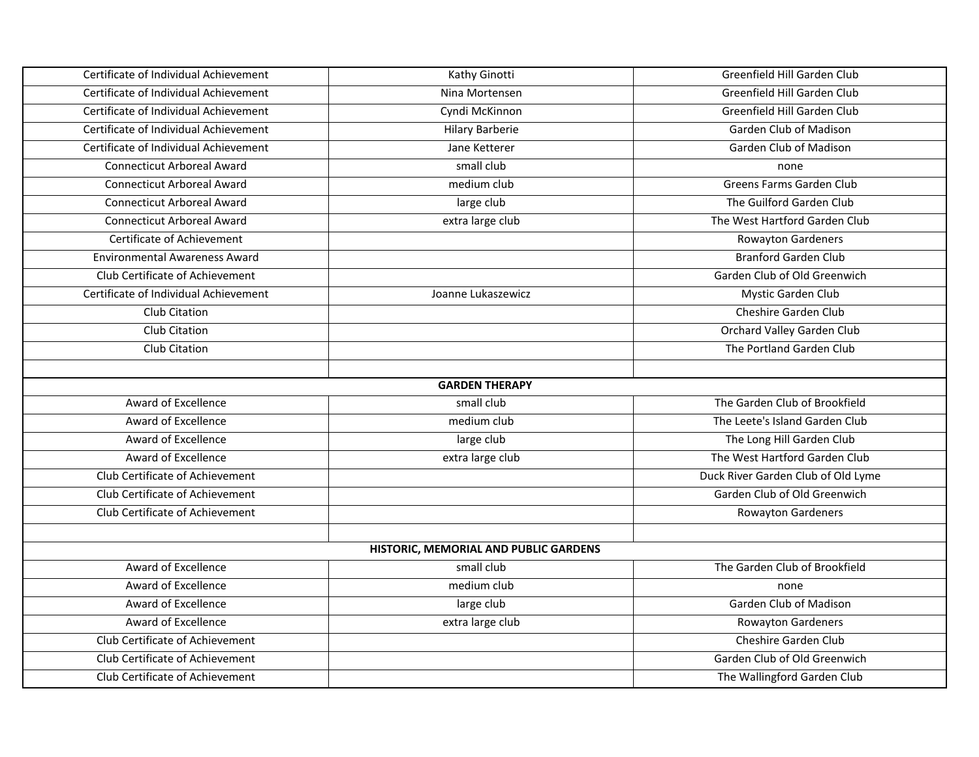| Certificate of Individual Achievement | Kathy Ginotti                         | Greenfield Hill Garden Club        |
|---------------------------------------|---------------------------------------|------------------------------------|
| Certificate of Individual Achievement | Nina Mortensen                        | Greenfield Hill Garden Club        |
| Certificate of Individual Achievement | Cyndi McKinnon                        | Greenfield Hill Garden Club        |
| Certificate of Individual Achievement | <b>Hilary Barberie</b>                | Garden Club of Madison             |
| Certificate of Individual Achievement | Jane Ketterer                         | Garden Club of Madison             |
| <b>Connecticut Arboreal Award</b>     | small club                            | none                               |
| <b>Connecticut Arboreal Award</b>     | medium club                           | Greens Farms Garden Club           |
| <b>Connecticut Arboreal Award</b>     | large club                            | The Guilford Garden Club           |
| <b>Connecticut Arboreal Award</b>     | extra large club                      | The West Hartford Garden Club      |
| <b>Certificate of Achievement</b>     |                                       | <b>Rowayton Gardeners</b>          |
| <b>Environmental Awareness Award</b>  |                                       | <b>Branford Garden Club</b>        |
| Club Certificate of Achievement       |                                       | Garden Club of Old Greenwich       |
| Certificate of Individual Achievement | Joanne Lukaszewicz                    | Mystic Garden Club                 |
| Club Citation                         |                                       | Cheshire Garden Club               |
| Club Citation                         |                                       | Orchard Valley Garden Club         |
| Club Citation                         |                                       | The Portland Garden Club           |
|                                       |                                       |                                    |
|                                       | <b>GARDEN THERAPY</b>                 |                                    |
| Award of Excellence                   | small club                            | The Garden Club of Brookfield      |
| Award of Excellence                   | medium club                           | The Leete's Island Garden Club     |
| Award of Excellence                   | large club                            | The Long Hill Garden Club          |
| Award of Excellence                   | extra large club                      | The West Hartford Garden Club      |
| Club Certificate of Achievement       |                                       | Duck River Garden Club of Old Lyme |
| Club Certificate of Achievement       |                                       | Garden Club of Old Greenwich       |
| Club Certificate of Achievement       |                                       | <b>Rowayton Gardeners</b>          |
|                                       |                                       |                                    |
|                                       | HISTORIC, MEMORIAL AND PUBLIC GARDENS |                                    |
| Award of Excellence                   | small club                            | The Garden Club of Brookfield      |
| Award of Excellence                   | medium club                           | none                               |
| Award of Excellence                   | large club                            | Garden Club of Madison             |
| Award of Excellence                   | extra large club                      | <b>Rowayton Gardeners</b>          |
| Club Certificate of Achievement       |                                       | Cheshire Garden Club               |
| Club Certificate of Achievement       |                                       | Garden Club of Old Greenwich       |
| Club Certificate of Achievement       |                                       | The Wallingford Garden Club        |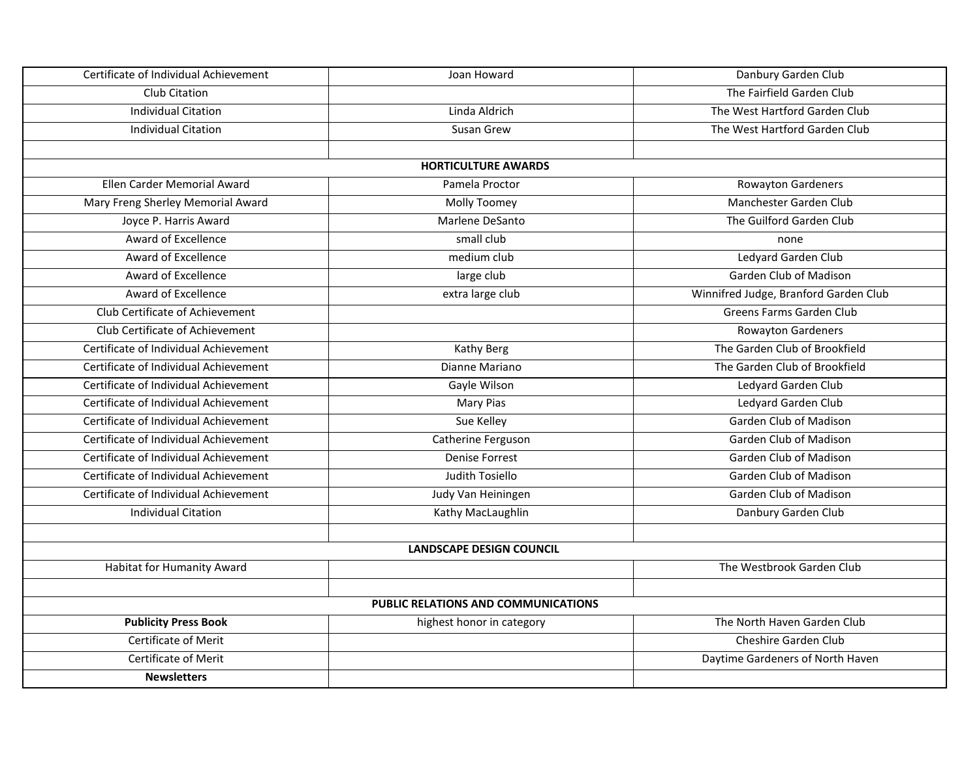| Certificate of Individual Achievement | Joan Howard                         | Danbury Garden Club                   |
|---------------------------------------|-------------------------------------|---------------------------------------|
| Club Citation                         |                                     | The Fairfield Garden Club             |
| <b>Individual Citation</b>            | Linda Aldrich                       | The West Hartford Garden Club         |
| <b>Individual Citation</b>            | Susan Grew                          | The West Hartford Garden Club         |
|                                       |                                     |                                       |
|                                       | <b>HORTICULTURE AWARDS</b>          |                                       |
| Ellen Carder Memorial Award           | Pamela Proctor                      | Rowayton Gardeners                    |
| Mary Freng Sherley Memorial Award     | Molly Toomey                        | Manchester Garden Club                |
| Joyce P. Harris Award                 | Marlene DeSanto                     | The Guilford Garden Club              |
| Award of Excellence                   | small club                          | none                                  |
| <b>Award of Excellence</b>            | medium club                         | Ledyard Garden Club                   |
| Award of Excellence                   | large club                          | Garden Club of Madison                |
| Award of Excellence                   | extra large club                    | Winnifred Judge, Branford Garden Club |
| Club Certificate of Achievement       |                                     | Greens Farms Garden Club              |
| Club Certificate of Achievement       |                                     | Rowayton Gardeners                    |
| Certificate of Individual Achievement | Kathy Berg                          | The Garden Club of Brookfield         |
| Certificate of Individual Achievement | Dianne Mariano                      | The Garden Club of Brookfield         |
| Certificate of Individual Achievement | Gayle Wilson                        | Ledyard Garden Club                   |
| Certificate of Individual Achievement | <b>Mary Pias</b>                    | Ledyard Garden Club                   |
| Certificate of Individual Achievement | Sue Kelley                          | Garden Club of Madison                |
| Certificate of Individual Achievement | Catherine Ferguson                  | Garden Club of Madison                |
| Certificate of Individual Achievement | <b>Denise Forrest</b>               | Garden Club of Madison                |
| Certificate of Individual Achievement | Judith Tosiello                     | Garden Club of Madison                |
| Certificate of Individual Achievement | Judy Van Heiningen                  | Garden Club of Madison                |
| <b>Individual Citation</b>            | Kathy MacLaughlin                   | Danbury Garden Club                   |
|                                       |                                     |                                       |
|                                       | <b>LANDSCAPE DESIGN COUNCIL</b>     |                                       |
| Habitat for Humanity Award            |                                     | The Westbrook Garden Club             |
|                                       |                                     |                                       |
|                                       | PUBLIC RELATIONS AND COMMUNICATIONS |                                       |
| <b>Publicity Press Book</b>           | highest honor in category           | The North Haven Garden Club           |
| <b>Certificate of Merit</b>           |                                     | Cheshire Garden Club                  |
| <b>Certificate of Merit</b>           |                                     | Daytime Gardeners of North Haven      |
| <b>Newsletters</b>                    |                                     |                                       |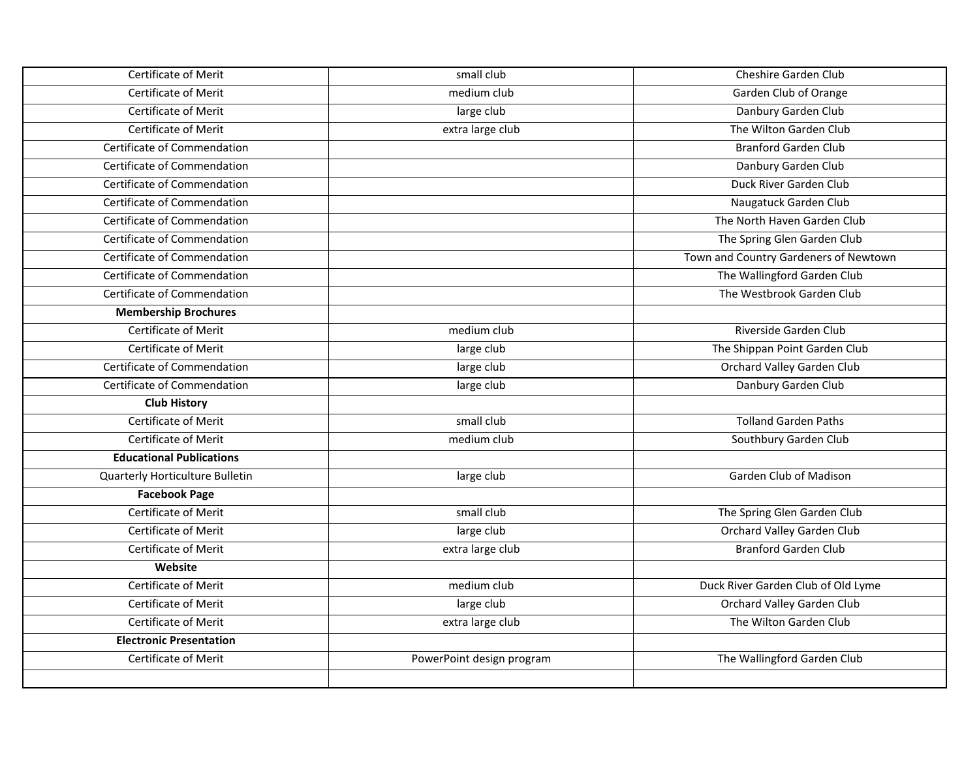| Certificate of Merit            | small club                | Cheshire Garden Club                  |
|---------------------------------|---------------------------|---------------------------------------|
| Certificate of Merit            | medium club               | Garden Club of Orange                 |
| <b>Certificate of Merit</b>     | large club                | Danbury Garden Club                   |
| Certificate of Merit            | extra large club          | The Wilton Garden Club                |
| Certificate of Commendation     |                           | <b>Branford Garden Club</b>           |
| Certificate of Commendation     |                           | Danbury Garden Club                   |
| Certificate of Commendation     |                           | Duck River Garden Club                |
| Certificate of Commendation     |                           | Naugatuck Garden Club                 |
| Certificate of Commendation     |                           | The North Haven Garden Club           |
| Certificate of Commendation     |                           | The Spring Glen Garden Club           |
| Certificate of Commendation     |                           | Town and Country Gardeners of Newtown |
| Certificate of Commendation     |                           | The Wallingford Garden Club           |
| Certificate of Commendation     |                           | The Westbrook Garden Club             |
| <b>Membership Brochures</b>     |                           |                                       |
| Certificate of Merit            | medium club               | Riverside Garden Club                 |
| Certificate of Merit            | large club                | The Shippan Point Garden Club         |
| Certificate of Commendation     | large club                | Orchard Valley Garden Club            |
| Certificate of Commendation     | large club                | Danbury Garden Club                   |
| <b>Club History</b>             |                           |                                       |
| Certificate of Merit            | small club                | <b>Tolland Garden Paths</b>           |
| <b>Certificate of Merit</b>     | medium club               | Southbury Garden Club                 |
| <b>Educational Publications</b> |                           |                                       |
| Quarterly Horticulture Bulletin | large club                | Garden Club of Madison                |
| <b>Facebook Page</b>            |                           |                                       |
| Certificate of Merit            | small club                | The Spring Glen Garden Club           |
| Certificate of Merit            | large club                | Orchard Valley Garden Club            |
| Certificate of Merit            | extra large club          | <b>Branford Garden Club</b>           |
| Website                         |                           |                                       |
| <b>Certificate of Merit</b>     | medium club               | Duck River Garden Club of Old Lyme    |
| Certificate of Merit            | large club                | Orchard Valley Garden Club            |
| Certificate of Merit            | extra large club          | The Wilton Garden Club                |
| <b>Electronic Presentation</b>  |                           |                                       |
| Certificate of Merit            | PowerPoint design program | The Wallingford Garden Club           |
|                                 |                           |                                       |